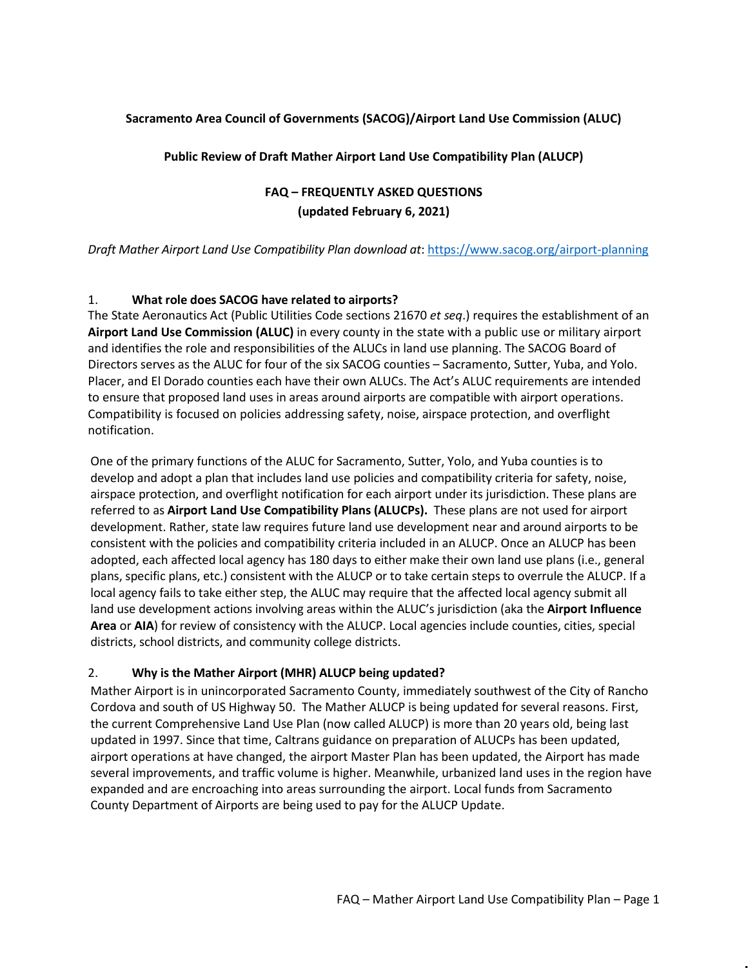#### **Sacramento Area Council of Governments (SACOG)/Airport Land Use Commission (ALUC)**

**Public Review of Draft Mather Airport Land Use Compatibility Plan (ALUCP)**

# **FAQ – FREQUENTLY ASKED QUESTIONS (updated February 6, 2021)**

*Draft Mather Airport Land Use Compatibility Plan download at*:<https://www.sacog.org/airport-planning>

#### 1. **What role does SACOG have related to airports?**

The State Aeronautics Act (Public Utilities Code sections 21670 *et seq*.) requires the establishment of an **Airport Land Use Commission (ALUC)** in every county in the state with a public use or military airport and identifies the role and responsibilities of the ALUCs in land use planning. The SACOG Board of Directors serves as the ALUC for four of the six SACOG counties – Sacramento, Sutter, Yuba, and Yolo. Placer, and El Dorado counties each have their own ALUCs. The Act's ALUC requirements are intended to ensure that proposed land uses in areas around airports are compatible with airport operations. Compatibility is focused on policies addressing safety, noise, airspace protection, and overflight notification.

One of the primary functions of the ALUC for Sacramento, Sutter, Yolo, and Yuba counties is to develop and adopt a plan that includes land use policies and compatibility criteria for safety, noise, airspace protection, and overflight notification for each airport under its jurisdiction. These plans are referred to as **Airport Land Use Compatibility Plans (ALUCPs).** These plans are not used for airport development. Rather, state law requires future land use development near and around airports to be consistent with the policies and compatibility criteria included in an ALUCP. Once an ALUCP has been adopted, each affected local agency has 180 days to either make their own land use plans (i.e., general plans, specific plans, etc.) consistent with the ALUCP or to take certain steps to overrule the ALUCP. If a local agency fails to take either step, the ALUC may require that the affected local agency submit all land use development actions involving areas within the ALUC's jurisdiction (aka the **Airport Influence Area** or **AIA**) for review of consistency with the ALUCP. Local agencies include counties, cities, special districts, school districts, and community college districts.

#### 2. **Why is the Mather Airport (MHR) ALUCP being updated?**

Mather Airport is in unincorporated Sacramento County, immediately southwest of the City of Rancho Cordova and south of US Highway 50. The Mather ALUCP is being updated for several reasons. First, the current Comprehensive Land Use Plan (now called ALUCP) is more than 20 years old, being last updated in 1997. Since that time, Caltrans guidance on preparation of ALUCPs has been updated, airport operations at have changed, the airport Master Plan has been updated, the Airport has made several improvements, and traffic volume is higher. Meanwhile, urbanized land uses in the region have expanded and are encroaching into areas surrounding the airport. Local funds from Sacramento County Department of Airports are being used to pay for the ALUCP Update.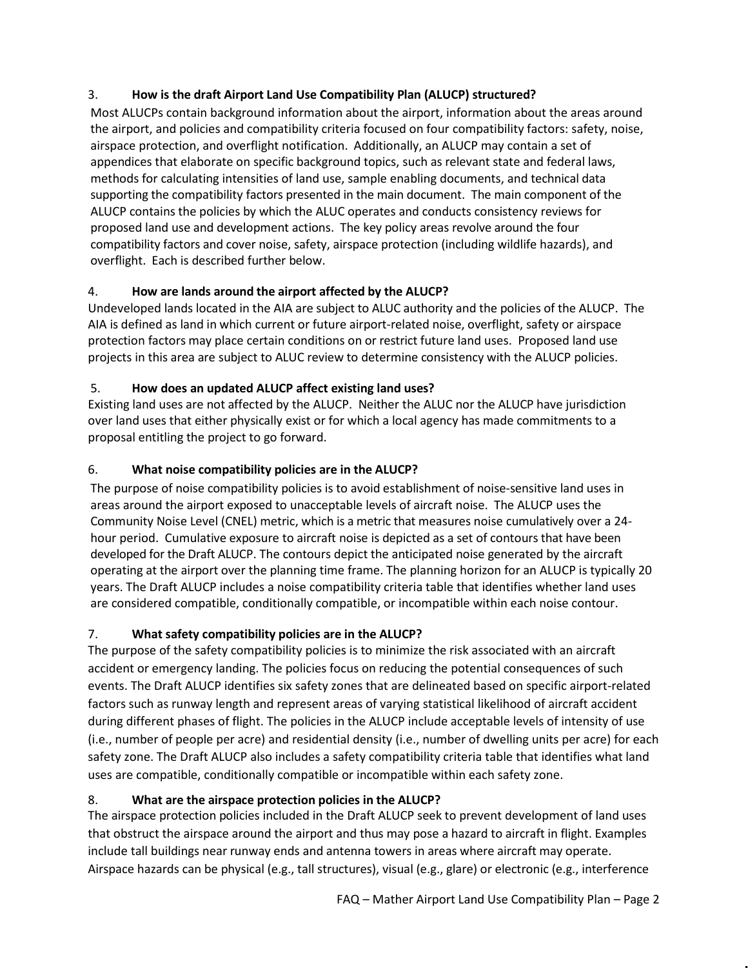### 3. **How is the draft Airport Land Use Compatibility Plan (ALUCP) structured?**

Most ALUCPs contain background information about the airport, information about the areas around the airport, and policies and compatibility criteria focused on four compatibility factors: safety, noise, airspace protection, and overflight notification. Additionally, an ALUCP may contain a set of appendices that elaborate on specific background topics, such as relevant state and federal laws, methods for calculating intensities of land use, sample enabling documents, and technical data supporting the compatibility factors presented in the main document. The main component of the ALUCP contains the policies by which the ALUC operates and conducts consistency reviews for proposed land use and development actions. The key policy areas revolve around the four compatibility factors and cover noise, safety, airspace protection (including wildlife hazards), and overflight. Each is described further below.

# 4. **How are lands around the airport affected by the ALUCP?**

Undeveloped lands located in the AIA are subject to ALUC authority and the policies of the ALUCP. The AIA is defined as land in which current or future airport-related noise, overflight, safety or airspace protection factors may place certain conditions on or restrict future land uses. Proposed land use projects in this area are subject to ALUC review to determine consistency with the ALUCP policies.

### 5. **How does an updated ALUCP affect existing land uses?**

Existing land uses are not affected by the ALUCP. Neither the ALUC nor the ALUCP have jurisdiction over land uses that either physically exist or for which a local agency has made commitments to a proposal entitling the project to go forward.

# 6. **What noise compatibility policies are in the ALUCP?**

The purpose of noise compatibility policies is to avoid establishment of noise-sensitive land uses in areas around the airport exposed to unacceptable levels of aircraft noise. The ALUCP uses the Community Noise Level (CNEL) metric, which is a metric that measures noise cumulatively over a 24 hour period. Cumulative exposure to aircraft noise is depicted as a set of contours that have been developed for the Draft ALUCP. The contours depict the anticipated noise generated by the aircraft operating at the airport over the planning time frame. The planning horizon for an ALUCP is typically 20 years. The Draft ALUCP includes a noise compatibility criteria table that identifies whether land uses are considered compatible, conditionally compatible, or incompatible within each noise contour.

# 7. **What safety compatibility policies are in the ALUCP?**

The purpose of the safety compatibility policies is to minimize the risk associated with an aircraft accident or emergency landing. The policies focus on reducing the potential consequences of such events. The Draft ALUCP identifies six safety zones that are delineated based on specific airport-related factors such as runway length and represent areas of varying statistical likelihood of aircraft accident during different phases of flight. The policies in the ALUCP include acceptable levels of intensity of use (i.e., number of people per acre) and residential density (i.e., number of dwelling units per acre) for each safety zone. The Draft ALUCP also includes a safety compatibility criteria table that identifies what land uses are compatible, conditionally compatible or incompatible within each safety zone.

# 8. **What are the airspace protection policies in the ALUCP?**

The airspace protection policies included in the Draft ALUCP seek to prevent development of land uses that obstruct the airspace around the airport and thus may pose a hazard to aircraft in flight. Examples include tall buildings near runway ends and antenna towers in areas where aircraft may operate. Airspace hazards can be physical (e.g., tall structures), visual (e.g., glare) or electronic (e.g., interference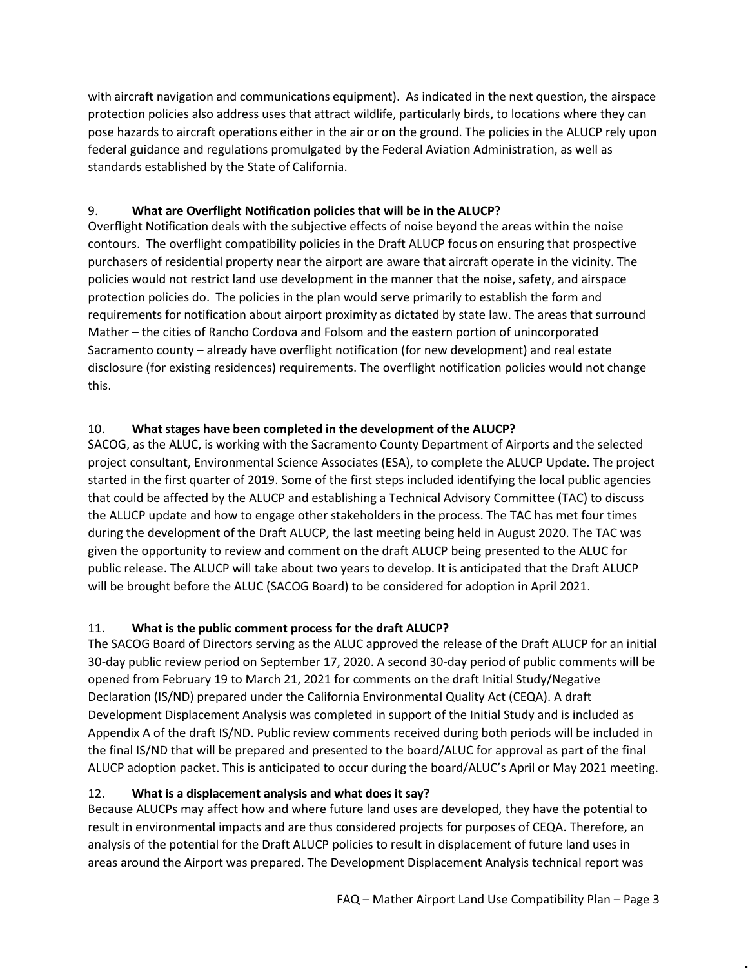with aircraft navigation and communications equipment). As indicated in the next question, the airspace protection policies also address uses that attract wildlife, particularly birds, to locations where they can pose hazards to aircraft operations either in the air or on the ground. The policies in the ALUCP rely upon federal guidance and regulations promulgated by the Federal Aviation Administration, as well as standards established by the State of California.

### 9. **What are Overflight Notification policies that will be in the ALUCP?**

Overflight Notification deals with the subjective effects of noise beyond the areas within the noise contours. The overflight compatibility policies in the Draft ALUCP focus on ensuring that prospective purchasers of residential property near the airport are aware that aircraft operate in the vicinity. The policies would not restrict land use development in the manner that the noise, safety, and airspace protection policies do. The policies in the plan would serve primarily to establish the form and requirements for notification about airport proximity as dictated by state law. The areas that surround Mather – the cities of Rancho Cordova and Folsom and the eastern portion of unincorporated Sacramento county – already have overflight notification (for new development) and real estate disclosure (for existing residences) requirements. The overflight notification policies would not change this.

### 10. **What stages have been completed in the development of the ALUCP?**

SACOG, as the ALUC, is working with the Sacramento County Department of Airports and the selected project consultant, Environmental Science Associates (ESA), to complete the ALUCP Update. The project started in the first quarter of 2019. Some of the first steps included identifying the local public agencies that could be affected by the ALUCP and establishing a Technical Advisory Committee (TAC) to discuss the ALUCP update and how to engage other stakeholders in the process. The TAC has met four times during the development of the Draft ALUCP, the last meeting being held in August 2020. The TAC was given the opportunity to review and comment on the draft ALUCP being presented to the ALUC for public release. The ALUCP will take about two years to develop. It is anticipated that the Draft ALUCP will be brought before the ALUC (SACOG Board) to be considered for adoption in April 2021.

### 11. **What is the public comment process for the draft ALUCP?**

The SACOG Board of Directors serving as the ALUC approved the release of the Draft ALUCP for an initial 30-day public review period on September 17, 2020. A second 30-day period of public comments will be opened from February 19 to March 21, 2021 for comments on the draft Initial Study/Negative Declaration (IS/ND) prepared under the California Environmental Quality Act (CEQA). A draft Development Displacement Analysis was completed in support of the Initial Study and is included as Appendix A of the draft IS/ND. Public review comments received during both periods will be included in the final IS/ND that will be prepared and presented to the board/ALUC for approval as part of the final ALUCP adoption packet. This is anticipated to occur during the board/ALUC's April or May 2021 meeting.

### 12. **What is a displacement analysis and what does it say?**

Because ALUCPs may affect how and where future land uses are developed, they have the potential to result in environmental impacts and are thus considered projects for purposes of CEQA. Therefore, an analysis of the potential for the Draft ALUCP policies to result in displacement of future land uses in areas around the Airport was prepared. The Development Displacement Analysis technical report was